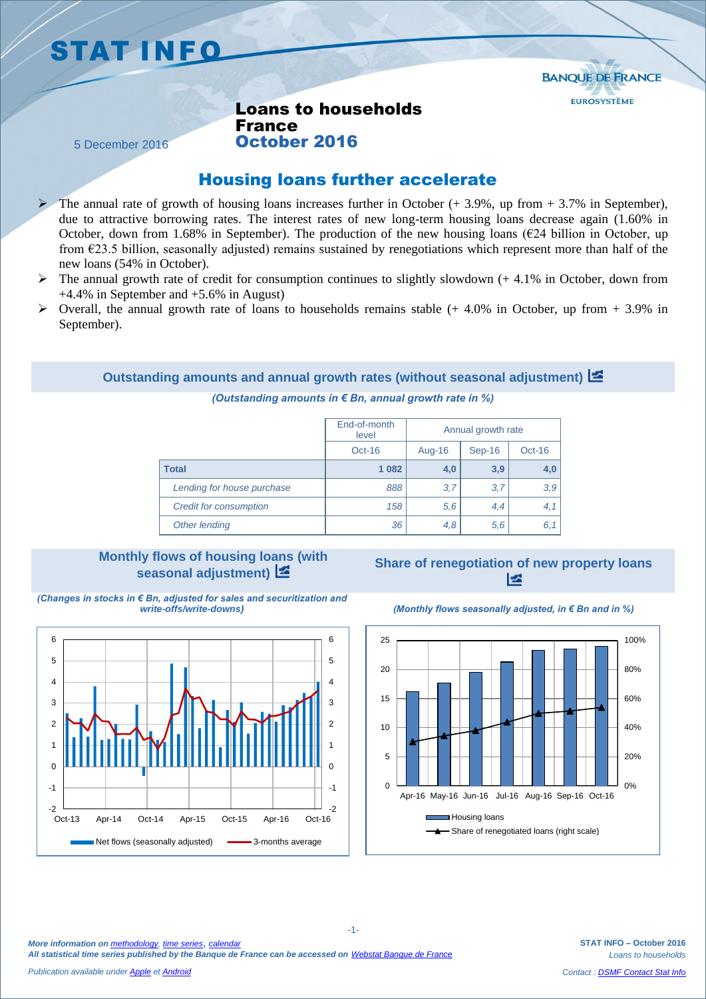# **STAT INFO**



Loans to households France October 2016

5 December 2016

## Housing loans further accelerate

- The annual rate of growth of housing loans increases further in October (+ 3.9%, up from + 3.7% in September), due to attractive borrowing rates. The interest rates of new long-term housing loans decrease again (1.60% in October, down from 1.68% in September). The production of the new housing loans ( $E24$  billion in October, up from  $E23.5$  billion, seasonally adjusted) remains sustained by renegotiations which represent more than half of the new loans (54% in October).
- The annual growth rate of credit for consumption continues to slightly slowdown  $(+ 4.1\%$  in October, down from +4.4% in September and +5.6% in August)
- $\triangleright$  Overall, the annual growth rate of loans to households remains stable (+ 4.0% in October, up from + 3.9% in September).

### **Outstanding amounts and annual growth rates (without seasonal adjustment)**

#### *(Outstanding amounts in € Bn, annual growth rate in %)*

|                               | End-of-month<br>level | Annual growth rate |        |          |
|-------------------------------|-----------------------|--------------------|--------|----------|
|                               | $Oct-16$              | Aug-16             | Sep-16 | $Oct-16$ |
| Total                         | 1 0 8 2               | 4,0                | 3,9    | 4,0      |
| Lending for house purchase    | 888                   | 3,7                | 3,7    | 3,9      |
| <b>Credit for consumption</b> | 158                   | 5,6                | 4,4    | 4,1      |
| Other lending                 | 36                    | 4,8                | 5,6    | 6,1      |

# **Monthly flows of housing loans (with**







*(Monthly flows seasonally adjusted, in € Bn and in %)* 



**STAT INFO – October 2016** *Loans to households Contact [: DSMF Contact Stat Info](mailto:1415-CONTACTSI-UT@banque-france.fr?subject=[statistic%20support]%20Credits%20aux%20particuliers)*